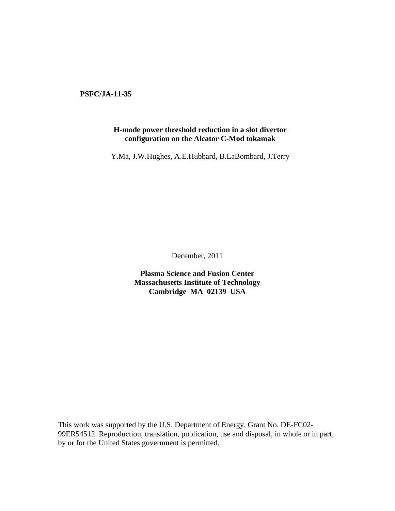**PSFC/JA-11-35** 

# **H-mode power threshold reduction in a slot divertor configuration on the Alcator C-Mod tokamak**

Y.Ma, J.W.Hughes, A.E.Hubbard, B.LaBombard, J.Terry

December, 2011

**Plasma Science and Fusion Center Massachusetts Institute of Technology Cambridge MA 02139 USA** 

This work was supported by the U.S. Department of Energy, Grant No. DE-FC02- 99ER54512. Reproduction, translation, publication, use and disposal, in whole or in part, by or for the United States government is permitted.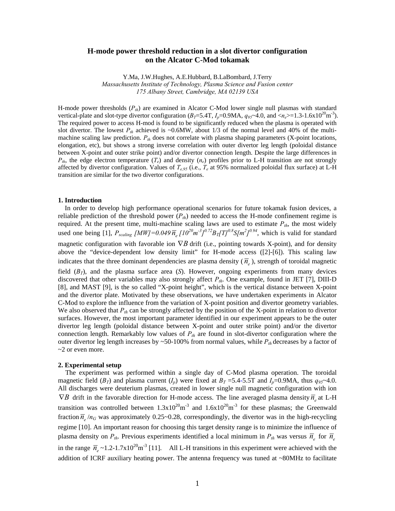# **H-mode power threshold reduction in a slot divertor configuration on the Alcator C-Mod tokamak**

Y.Ma, J.W.Hughes, A.E.Hubbard, B.LaBombard, J.Terry

*Massachusetts Institute of Technology, Plasma Science and Fusion center 175 Albany Street, Cambridge, MA 02139 USA* 

H-mode power thresholds  $(P_{th})$  are examined in Alcator C-Mod lower single null plasmas with standard vertical-plate and slot-type divertor configuration ( $B_T$ =5.4T,  $I_p$ =0.9MA,  $q_{95}$ ~4.0, and < $n_e$ >=1.3-1.6x10<sup>20</sup>m<sup>-3</sup>). The required power to access H-mod is found to be significantly reduced when the plasma is operated with slot divertor. The lowest  $P_{th}$  achieved is ~0.6MW, about 1/3 of the normal level and 40% of the multimachine scaling law prediction.  $P_{th}$  does not correlate with plasma shaping parameters (X-point locations, elongation, etc), but shows a strong inverse correlation with outer divertor leg length (poloidal distance between X-point and outer strike point) and/or divertor connection length. Despite the large differences in  $P_{th}$ , the edge electron temperature  $(T_e)$  and density  $(n_e)$  profiles prior to L-H transition are not strongly affected by divertor configuration. Values of *Te,95* (i.e., *Te* at 95% normalized poloidal flux surface) at L-H transition are similar for the two divertor configurations.

#### **1. Introduction**

 In order to develop high performance operational scenarios for future tokamak fusion devices, a reliable prediction of the threshold power  $(P_{th})$  needed to access the H-mode confinement regime is required. At the present time, multi-machine scaling laws are used to estimate  $P_{th}$ , the most widely used one being [1],  $P_{scaling}$  [MW]=0.049 $\bar{n}_{e}$  [10<sup>20</sup>m<sup>-3</sup>]<sup>0.72</sup>B<sub>T</sub>[T]<sup>0.8</sup>S[m<sup>2</sup>]<sup>0.94</sup>, which is valid for standard magnetic configuration with favorable ion ∇*B* drift (i.e., pointing towards X-point), and for density above the "device-dependent low density limit" for H-mode access ([2]-[6]). This scaling law indicates that the three dominant dependencies are plasma density  $(\bar{n}_{e})$ , strength of toroidal magnetic field  $(B_T)$ , and the plasma surface area  $(S)$ . However, ongoing experiments from many devices discovered that other variables may also strongly affect *Pth*. One example, found in JET [7], DIII-D [8], and MAST [9], is the so called "X-point height", which is the vertical distance between X-point and the divertor plate. Motivated by these observations, we have undertaken experiments in Alcator C-Mod to explore the influence from the variation of X-point position and divertor geometry variables. We also observed that  $P_{th}$  can be strongly affected by the position of the X-point in relation to divertor surfaces. However, the most important parameter identified in our experiment appears to be the outer divertor leg length (poloidal distance between X-point and outer strike point) and/or the divertor connection length. Remarkably low values of  $P_{th}$  are found in slot-divertor configuration where the outer divertor leg length increases by  $\sim 50{\text -}100\%$  from normal values, while  $P_{th}$  decreases by a factor of  $\sim$ 2 or even more.

## **2. Experimental setup**

The experiment was performed within a single day of C-Mod plasma operation. The toroidal magnetic field  $(B_T)$  and plasma current  $(I_p)$  were fixed at  $B_T = 5.4$ -5.5T and  $I_p = 0.9MA$ , thus  $q_{95}$ -4.0. All discharges were deuterium plasmas, created in lower single null magnetic configuration with ion  $\nabla B$  drift in the favorable direction for H-mode access. The line averaged plasma density  $\overline{n}_e$  at L-H transition was controlled between  $1.3x10^{20}$ m<sup>-3</sup> and  $1.6x10^{20}$ m<sup>-3</sup> for these plasmas; the Greenwald fraction  $\overline{n}_e/n_G$  was approximately 0.25~0.28, correspondingly, the divertor was in the high-recycling regime [10]. An important reason for choosing this target density range is to minimize the influence of plasma density on  $P_{th}$ . Previous experiments identified a local minimum in  $P_{th}$  was versus  $\overline{n}_e$  for  $\overline{n}_e$ in the range  $\overline{n}_e \sim 1.2{\text -}1.7 \times 10^{20} \text{m}^{-3}$  [11]. All L-H transitions in this experiment were achieved with the addition of ICRF auxiliary heating power. The antenna frequency was tuned at ~80MHz to facilitate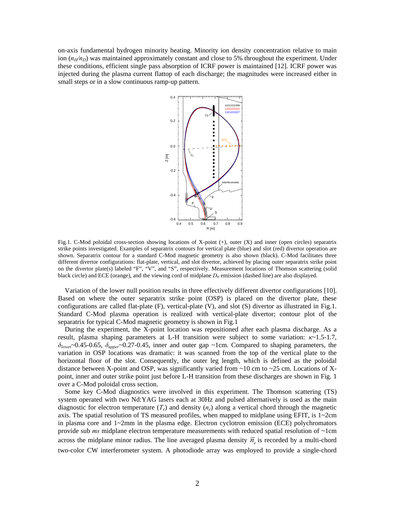on-axis fundamental hydrogen minority heating. Minority ion density concentration relative to main ion  $(n_H/n_D)$  was maintained approximately constant and close to 5% throughout the experiment. Under these conditions, efficient single pass absorption of ICRF power is maintained [12]. ICRF power was injected during the plasma current flattop of each discharge; the magnitudes were increased either in small steps or in a slow continuous ramp-up pattern.



Fig.1. C-Mod poloidal cross-section showing locations of X-point (+), outer (X) and inner (open circles) separatrix strike points investigated. Examples of separatrix contours for vertical plate (blue) and slot (red) divertor operation are shown. Separatrix contour for a standard C-Mod magnetic geometry is also shown (black). C-Mod facilitates three different divertor configurations: flat-plate, vertical, and slot divertor, achieved by placing outer separatrix strike point on the divertor plate(s) labeled "F", "V", and "S", respectively. Measurement locations of Thomson scattering (solid black circle) and ECE (orange), and the viewing cord of midplane  $D_\alpha$  emission (dashed line) are also displayed.

 Variation of the lower null position results in three effectively different divertor configurations [10]. Based on where the outer separatrix strike point (OSP) is placed on the divertor plate, these configurations are called flat-plate (F), vertical-plate (V), and slot (S) divertor as illustrated in Fig.1. Standard C-Mod plasma operation is realized with vertical-plate divertor; contour plot of the separatrix for typical C-Mod magnetic geometry is shown in Fig.1

 During the experiment, the X-point location was repositioned after each plasma discharge. As a result, plasma shaping parameters at L-H transition were subject to some variation: *κ*~1.5-1.7, *δlowe*r~0.45-0.65, *δupper*~0.27-0.45, inner and outer gap ~1cm. Compared to shaping parameters, the variation in OSP locations was dramatic: it was scanned from the top of the vertical plate to the horizontal floor of the slot. Consequently, the outer leg length, which is defined as the poloidal distance between X-point and OSP, was significantly varied from  $\sim$ 10 cm to  $\sim$ 25 cm. Locations of Xpoint, inner and outer strike point just before L-H transition from these discharges are shown in Fig. 1 over a C-Mod poloidal cross section.

 Some key C-Mod diagnostics were involved in this experiment. The Thomson scattering (TS) system operated with two Nd:YAG lasers each at 30Hz and pulsed alternatively is used as the main diagnostic for electron temperature  $(T_e)$  and density  $(n_e)$  along a vertical chord through the magnetic axis. The spatial resolution of TS measured profiles, when mapped to midplane using EFIT, is  $1 \sim 2 \text{cm}$ in plasma core and  $1 \sim 2$ mm in the plasma edge. Electron cyclotron emission (ECE) polychromators provide sub *ms* midplane electron temperature measurements with reduced spatial resolution of ~1cm across the midplane minor radius. The line averaged plasma density  $\overline{n}_e$  is recorded by a multi-chord two-color CW interferometer system. A photodiode array was employed to provide a single-chord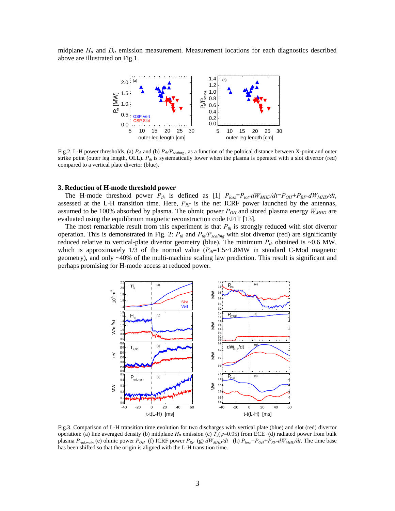midplane  $H_a$  and  $D_a$  emission measurement. Measurement locations for each diagnostics described above are illustrated on Fig.1.



Fig.2. L-H power thresholds, (a)  $P_{th}$  and (b)  $P_{th}/P_{scaling}$ , as a function of the poloical distance between X-point and outer strike point (outer leg length, OLL).  $P_{th}$  is systematically lower when the plasma is operated with a slot divertor (red) compared to a vertical plate divertor (blue).

#### **3. Reduction of H-mode threshold power**

The H-mode threshold power  $P_{th}$  is defined as [1]  $P_{loss}=P_{tot}-dW_{MHD}/dt=P_{OH}+P_{RF}-dW_{MHD}/dt$ , assessed at the L-H transition time. Here,  $P_{RF}$  is the net ICRF power launched by the antennas, assumed to be 100% absorbed by plasma. The ohmic power  $P_{OH}$  and stored plasma energy  $W_{MHD}$  are evaluated using the equilibrium magnetic reconstruction code EFIT [13].

The most remarkable result from this experiment is that  $P_{th}$  is strongly reduced with slot divertor operation. This is demonstrated in Fig. 2: *Pth* and *Pth/Pscaling* with slot divertor (red) are significantly reduced relative to vertical-plate divertor geometry (blue). The minimum  $P_{th}$  obtained is ~0.6 MW, which is approximately 1/3 of the normal value  $(P_{th}=1.5 \sim 1.8$  MW in standard C-Mod magnetic geometry), and only ~40% of the multi-machine scaling law prediction. This result is significant and perhaps promising for H-mode access at reduced power.



Fig.3. Comparison of L-H transition time evolution for two discharges with vertical plate (blue) and slot (red) divertor operation: (a) line averaged density (b) midplane  $H_a$  emission (c)  $T_e(\psi=0.95)$  from ECE (d) radiated power from bulk plasma  $P_{rad,main}$  (e) ohmic power  $P_{OH}$  (f) ICRF power  $P_{RF}$  (g)  $dW_{MHD}/dt$  (h)  $P_{loss}=P_{OH}+P_{RF}-dW_{MHD}/dt$ . The time base has been shifted so that the origin is aligned with the L-H transition time.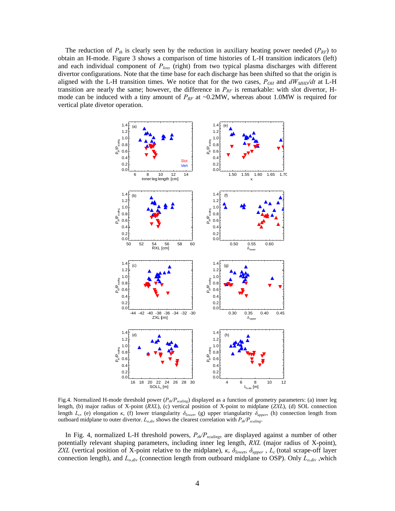The reduction of  $P_{th}$  is clearly seen by the reduction in auxiliary heating power needed  $(P_{RF})$  to obtain an H-mode. Figure 3 shows a comparison of time histories of L-H transition indicators (left) and each individual component of *Ploss* (right) from two typical plasma discharges with different divertor configurations. Note that the time base for each discharge has been shifted so that the origin is aligned with the L-H transition times. We notice that for the two cases,  $P_{OH}$  and  $dW_{MHD}/dt$  at L-H transition are nearly the same; however, the difference in  $P_{RF}$  is remarkable: with slot divertor, Hmode can be induced with a tiny amount of  $P_{RF}$  at ~0.2MW, whereas about 1.0MW is required for vertical plate divetor operation.



Fig.4. Normalized H-mode threshold power (*Pth/Pscaling*) displayed as a function of geometry parameters: (a) inner leg length, (b) major radius of X-point (*RXL*), (c) vertical position of X-point to midplane (*ZXL*), (d) SOL connection length *Lc*, (e) elongation *κ*, (f) lower triangularity *δlowe*r, (g) upper triangularity *δupper*, (h) connection length from outboard midplane to outer divertor.  $L_{o,div}$  shows the clearest correlation with  $P_{th}/P_{scaling}$ .

In Fig. 4, normalized L-H threshold powers, *Pth/Pscaling*, are displayed against a number of other potentially relevant shaping parameters, including inner leg length, *RXL* (major radius of X-point), *ZXL* (vertical position of X-point relative to the midplane), *κ*, *δlowe*r, *δupper* , *Lc* (total scrape-off layer connection length), and  $L_{o,div}$  (connection length from outboard midplane to OSP). Only  $L_{o,div}$ , which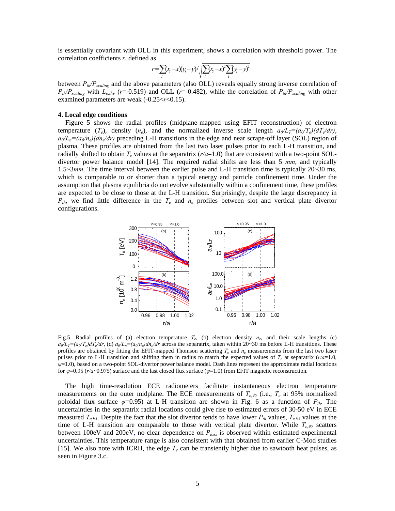is essentially covariant with OLL in this experiment, shows a correlation with threshold power. The correlation coefficients *r*, defined as

$$
r = \sum_{i} (x_i - \overline{x})(y_i - \overline{y}) / \sqrt{\sum_{i} (x_i - \overline{x})^2 \sum_{i} (y_i - \overline{y})^2}
$$

between *Pth/Pscaling* and the above parameters (also OLL) reveals equally strong inverse correlation of  $P_{th}/P_{scaling}$  with  $L_{o,div}$  (*r*=-0.519) and OLL (*r*=-0.482), while the correlation of  $P_{th}/P_{scaling}$  with other examined parameters are weak (-0.25<*r*<0.15).

#### **4. Local edge conditions**

Figure 5 shows the radial profiles (midplane-mapped using EFIT reconstruction) of electron temperature  $(T_e)$ , density  $(n_e)$ , and the normalized inverse scale length  $a_0/L_T = (a_0/T_e)(dT_e/dr)$ ,  $a_0/L_n = (a_0/n_e)(dn_e/dr)$  preceding L-H transitions in the edge and near scrape-off layer (SOL) region of plasma. These profiles are obtained from the last two laser pulses prior to each L-H transition, and radially shifted to obtain  $T_e$  values at the separatrix  $(r/a=1.0)$  that are consistent with a two-point SOLdivertor power balance model [14]. The required radial shifts are less than 5 *mm*, and typically 1.5~3*mm*. The time interval between the earlier pulse and L-H transition time is typically 20~30 ms, which is comparable to or shorter than a typical energy and particle confinement time. Under the assumption that plasma equilibria do not evolve substantially within a confinement time, these profiles are expected to be close to those at the L-H transition. Surprisingly, despite the large discrepancy in *Pth*, we find little difference in the *Te* and *ne* profiles between slot and vertical plate divertor configurations.



Fig.5. Radial profiles of (a) electron temperature *Te*, (b) electron density *ne*, and their scale lengths (c)  $a_0/L_T=(a_0/T_e)dT_e/dr$ , (d)  $a_0/L_n=(a_0/n_e)dn_e/dr$  across the separatrix, taken within 20~30 ms before L-H transitions. These profiles are obtained by fitting the EFIT-mapped Thomson scattering  $T_e$  and  $n_e$  measurements from the last two laser pulses prior to L-H transition and shifting them in radius to match the expected values of  $T_e$  at separatrix ( $r/a=1.0$ , *ψ*=1.0), based on a two-point SOL-divertor power balance model. Dash lines represent the approximate radial locations for *ψ*=0.95 (*r/a*~0.975) surface and the last closed flux surface (*ψ*=1.0) from EFIT magnetic reconstruction.

The high time-resolution ECE radiometers facilitate instantaneous electron temperature measurements on the outer midplane. The ECE measurements of  $T_{e,95}$  (i.e.,  $T_e$  at 95% normalized poloidal flux surface  $\psi$ =0.95) at L-H transition are shown in Fig. 6 as a function of  $P_{th}$ . The uncertainties in the separatrix radial locations could give rise to estimated errors of 30-50 eV in ECE measured  $T_{e,95}$ . Despite the fact that the slot divertor tends to have lower  $P_{th}$  values,  $T_{e,95}$  values at the time of L-H transition are comparable to those with vertical plate divertor. While  $T_{e,95}$  scatters between 100eV and 200eV, no clear dependence on *Ploss* is observed within estimated experimental uncertainties. This temperature range is also consistent with that obtained from earlier C-Mod studies [15]. We also note with ICRH, the edge  $T_e$  can be transiently higher due to sawtooth heat pulses, as seen in Figure 3.c.